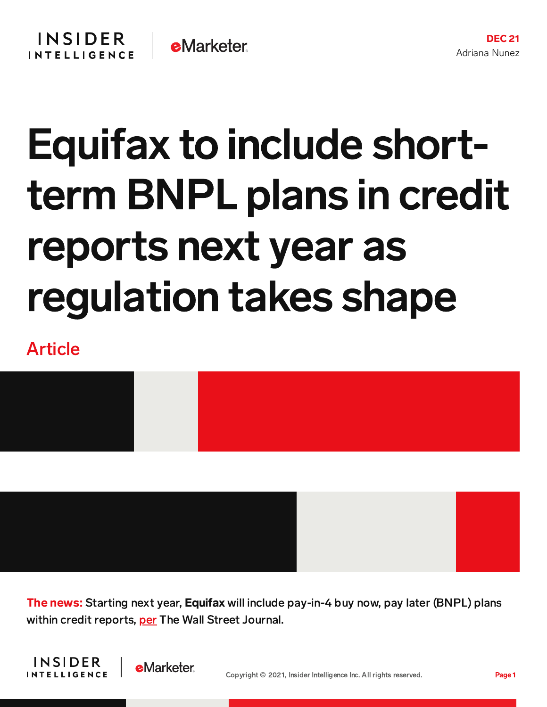## Equifax to include shortterm BNPL plans in credit reports next year as regulation takes shape

## Article



**The news:** Starting next year, **Equifax** will include pay-in-4 buy now, pay later (BNPL) plans within credit reports, [per](https://www.wsj.com/articles/equifax-to-add-more-buy-now-pay-later-plans-to-credit-reports-11639915203) The Wall Street Journal.